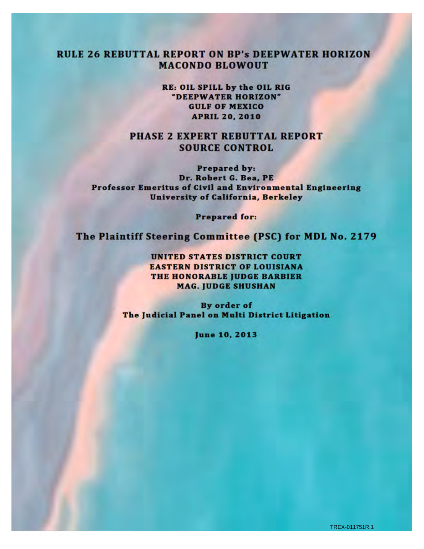## **RULE 26 REBUTTAL REPORT ON BP's DEEPWATER HORIZON MACONDO BLOWOUT**

RE: OIL SPILL by the OIL RIG "DEEPWATER HORIZON" **GULF OF MEXICO APRIL 20, 2010** 

**PHASE 2 EXPERT REBUTTAL REPORT SOURCE CONTROL** 

**Prepared by:** Dr. Robert G. Bea, PE Professor Emeritus of Civil and Environmental Engineering University of California, Berkeley

**Prepared for:** 

The Plaintiff Steering Committee (PSC) for MDL No. 2179

**UNITED STATES DISTRICT COURT EASTERN DISTRICT OF LOUISIANA** THE HONORABLE JUDGE BARBIER **MAG. JUDGE SHUSHAN** 

By order of The Judicial Panel on Multi District Litigation

June 10, 2013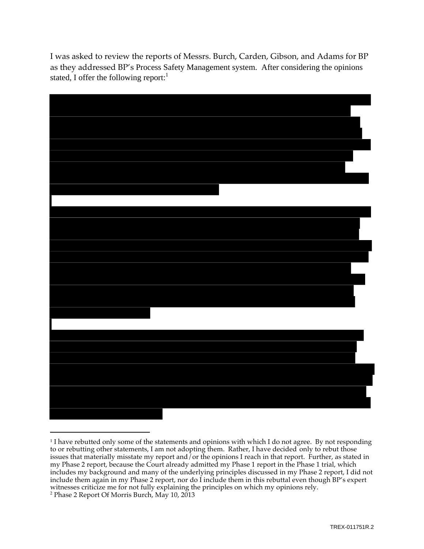I was asked to review the reports of Messrs. Burch, Carden, Gibson, and Adams for BP as they addressed BP's Process Safety Management system. After considering the opinions stated, I offer the following report: $<sup>1</sup>$ </sup>



<sup>&</sup>lt;sup>1</sup> I have rebutted only some of the statements and opinions with which I do not agree. By not responding to or rebutting other statements, I am not adopting them. Rather, I have decided only to rebut those issues that materially misstate my report and/or the opinions I reach in that report. Further, as stated in my Phase 2 report, because the Court already admitted my Phase 1 report in the Phase 1 trial, which includes my background and many of the underlying principles discussed in my Phase 2 report, I did not include them again in my Phase 2 report, nor do I include them in this rebuttal even though BP's expert witnesses criticize me for not fully explaining the principles on which my opinions rely.<br><sup>2</sup> Phase 2 Report Of Morris Burch, May 10, 2013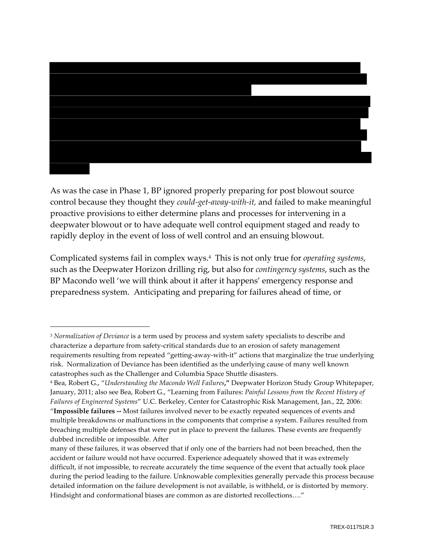

As was the case in Phase 1, BP ignored properly preparing for post blowout source control because they thought they could-get-away-with-it, and failed to make meaningful proactive provisions to either determine plans and processes for intervening in a deepwater blowout or to have adequate well control equipment staged and ready to rapidly deploy in the event of loss of well control and an ensuing blowout.

Complicated systems fail in complex ways.<sup>4</sup> This is not only true for *operating systems*, such as the Deepwater Horizon drilling rig, but also for *contingency systems*, such as the BP Macondo well 'we will think about it after it happens' emergency response and preparedness system. Anticipating and preparing for failures ahead of time, or

<sup>&</sup>lt;sup>3</sup> Normalization of Deviance is a term used by process and system safety specialists to describe and characterize a departure from safety-critical standards due to an erosion of safety management requirements resulting from repeated "getting-away-with-it" actions that marginalize the true underlying risk. Normalization of Deviance has been identified as the underlying cause of many well known catastrophes such as the Challenger and Columbia Space Shuttle disasters.

<sup>&</sup>lt;sup>4</sup> Bea, Robert G., "Understanding the Macondo Well Failures," Deepwater Horizon Study Group Whitepaper, January, 2011; also see Bea, Robert G., "Learning from Failures: Painful Lessons from the Recent History of Failures of Engineered Systems" U.C. Berkeley, Center for Catastrophic Risk Management, Jan., 22, 2006: "Impossible failures -- Most failures involved never to be exactly repeated sequences of events and multiple breakdowns or malfunctions in the components that comprise a system. Failures resulted from breaching multiple defenses that were put in place to prevent the failures. These events are frequently dubbed incredible or impossible. After

many of these failures, it was observed that if only one of the barriers had not been breached, then the accident or failure would not have occurred. Experience adequately showed that it was extremely difficult, if not impossible, to recreate accurately the time sequence of the event that actually took place during the period leading to the failure. Unknowable complexities generally pervade this process because detailed information on the failure development is not available, is withheld, or is distorted by memory. Hindsight and conformational biases are common as are distorted recollections...."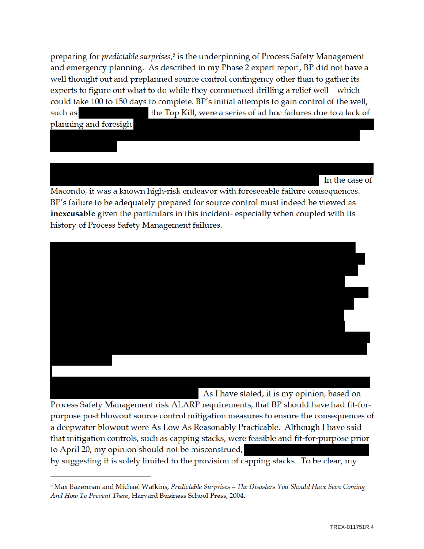preparing for *predictable surprises*,<sup>5</sup> is the underpinning of Process Safety Management and emergency planning. As described in my Phase 2 expert report, BP did not have a well thought out and preplanned source control contingency other than to gather its experts to figure out what to do while they commenced drilling a relief well - which could take 100 to 150 days to complete. BP's initial attempts to gain control of the well, the Top Kill, were a series of ad hoc failures due to a lack of such as planning and foresigh

In the case of

Macondo, it was a known high-risk endeavor with foreseeable failure consequences. BP's failure to be adequately prepared for source control must indeed be viewed as inexcusable given the particulars in this incident-especially when coupled with its history of Process Safety Management failures.



As I have stated, it is my opinion, based on

Process Safety Management risk ALARP requirements, that BP should have had fit-forpurpose post blowout source control mitigation measures to ensure the consequences of a deepwater blowout were As Low As Reasonably Practicable. Although I have said that mitigation controls, such as capping stacks, were feasible and fit-for-purpose prior to April 20, my opinion should not be misconstrued,

by suggesting it is solely limited to the provision of capping stacks. To be clear, my

<sup>&</sup>lt;sup>5</sup> Max Bazerman and Michael Watkins, Predictable Surprises - The Disasters You Should Have Seen Coming And How To Prevent Them, Harvard Business School Press, 2004.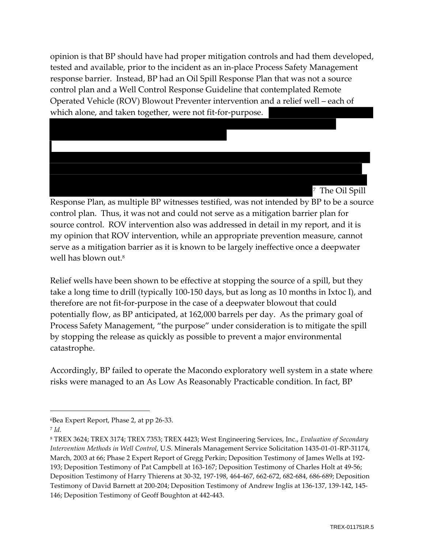opinion is that BP should have had proper mitigation controls and had them developed, tested and available, prior to the incident as an in-place Process Safety Management response barrier. Instead, BP had an Oil Spill Response Plan that was not a source control plan and a Well Control Response Guideline that contemplated Remote Operated Vehicle (ROV) Blowout Preventer intervention and a relief well – each of which alone, and taken together, were not fit-for-purpose.



Response Plan, as multiple BP witnesses testified, was not intended by BP to be a source control plan. Thus, it was not and could not serve as a mitigation barrier plan for source control. ROV intervention also was addressed in detail in my report, and it is my opinion that ROV intervention, while an appropriate prevention measure, cannot serve as a mitigation barrier as it is known to be largely ineffective once a deepwater well has blown out.<sup>8</sup>

Relief wells have been shown to be effective at stopping the source of a spill, but they take a long time to drill (typically 100-150 days, but as long as 10 months in Ixtoc I), and therefore are not fit-for-purpose in the case of a deepwater blowout that could potentially flow, as BP anticipated, at 162,000 barrels per day. As the primary goal of Process Safety Management, "the purpose" under consideration is to mitigate the spill by stopping the release as quickly as possible to prevent a major environmental catastrophe.

Accordingly, BP failed to operate the Macondo exploratory well system in a state where risks were managed to an As Low As Reasonably Practicable condition. In fact, BP

<sup>&</sup>lt;sup>6</sup>Bea Expert Report, Phase 2, at pp 26-33.

 $7$  Id.

<sup>&</sup>lt;sup>8</sup> TREX 3624; TREX 3174; TREX 7353; TREX 4423; West Engineering Services, Inc., Evaluation of Secondary Intervention Methods in Well Control, U.S. Minerals Management Service Solicitation 1435-01-01-RP-31174, March, 2003 at 66; Phase 2 Expert Report of Gregg Perkin; Deposition Testimony of James Wells at 192-193; Deposition Testimony of Pat Campbell at 163-167; Deposition Testimony of Charles Holt at 49-56; Deposition Testimony of Harry Thierens at 30-32, 197-198, 464-467, 662-672, 682-684, 686-689; Deposition Testimony of David Barnett at 200-204; Deposition Testimony of Andrew Inglis at 136-137, 139-142, 145-146; Deposition Testimony of Geoff Boughton at 442-443.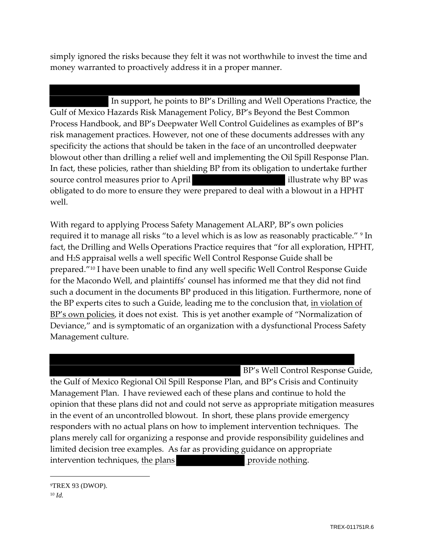simply ignored the risks because they felt it was not worthwhile to invest the time and money warranted to proactively address it in a proper manner.

In support, he points to BP's Drilling and Well Operations Practice, the Gulf of Mexico Hazards Risk Management Policy, BP's Beyond the Best Common Process Handbook, and BP's Deepwater Well Control Guidelines as examples of BP's risk management practices. However, not one of these documents addresses with any specificity the actions that should be taken in the face of an uncontrolled deepwater blowout other than drilling a relief well and implementing the Oil Spill Response Plan. In fact, these policies, rather than shielding BP from its obligation to undertake further source control measures prior to April illustrate why BP was obligated to do more to ensure they were prepared to deal with a blowout in a HPHT well.

With regard to applying Process Safety Management ALARP, BP's own policies required it to manage all risks "to a level which is as low as reasonably practicable." <sup>9</sup> In fact, the Drilling and Wells Operations Practice requires that "for all exploration, HPHT, and H<sub>2</sub>S appraisal wells a well specific Well Control Response Guide shall be prepared."<sup>10</sup> I have been unable to find any well specific Well Control Response Guide for the Macondo Well, and plaintiffs' counsel has informed me that they did not find such a document in the documents BP produced in this litigation. Furthermore, none of the BP experts cites to such a Guide, leading me to the conclusion that, in violation of BP's own policies, it does not exist. This is yet another example of "Normalization of Deviance," and is symptomatic of an organization with a dysfunctional Process Safety Management culture.

BP's Well Control Response Guide, the Gulf of Mexico Regional Oil Spill Response Plan, and BP's Crisis and Continuity Management Plan. I have reviewed each of these plans and continue to hold the opinion that these plans did not and could not serve as appropriate mitigation measures in the event of an uncontrolled blowout. In short, these plans provide emergency responders with no actual plans on how to implement intervention techniques. The plans merely call for organizing a response and provide responsibility guidelines and limited decision tree examples. As far as providing guidance on appropriate intervention techniques, the plans provide nothing.

<sup>9</sup>TREX 93 (DWOP).  $10$  *Id.*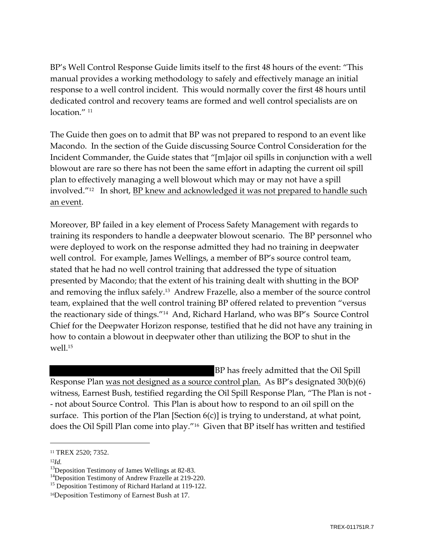BP's Well Control Response Guide limits itself to the first 48 hours of the event: "This manual provides a working methodology to safely and effectively manage an initial response to a well control incident. This would normally cover the first 48 hours until dedicated control and recovery teams are formed and well control specialists are on location  $''$   $^{11}$ 

The Guide then goes on to admit that BP was not prepared to respond to an event like Macondo. In the section of the Guide discussing Source Control Consideration for the Incident Commander, the Guide states that "[m]ajor oil spills in conjunction with a well blowout are rare so there has not been the same effort in adapting the current oil spill plan to effectively managing a well blowout which may or may not have a spill involved."<sup>12</sup> In short, BP knew and acknowledged it was not prepared to handle such an event.

Moreover, BP failed in a key element of Process Safety Management with regards to training its responders to handle a deepwater blowout scenario. The BP personnel who were deployed to work on the response admitted they had no training in deepwater well control. For example, James Wellings, a member of BP's source control team, stated that he had no well control training that addressed the type of situation presented by Macondo; that the extent of his training dealt with shutting in the BOP and removing the influx safely.<sup>13</sup> Andrew Frazelle, also a member of the source control team, explained that the well control training BP offered related to prevention "versus the reactionary side of things."<sup>14</sup> And, Richard Harland, who was BP's Source Control Chief for the Deepwater Horizon response, testified that he did not have any training in how to contain a blowout in deepwater other than utilizing the BOP to shut in the well.<sup>15</sup>

BP has freely admitted that the Oil Spill Response Plan was not designed as a source control plan. As BP's designated 30(b)(6) witness, Earnest Bush, testified regarding the Oil Spill Response Plan, "The Plan is not -- not about Source Control. This Plan is about how to respond to an oil spill on the surface. This portion of the Plan [Section  $6(c)$ ] is trying to understand, at what point, does the Oil Spill Plan come into play."<sup>16</sup> Given that BP itself has written and testified

 $^{12}Id.$ 

<sup>&</sup>lt;sup>11</sup> TREX 2520; 7352.

<sup>&</sup>lt;sup>13</sup>Deposition Testimony of James Wellings at 82-83.

<sup>&</sup>lt;sup>14</sup>Deposition Testimony of Andrew Frazelle at 219-220.

<sup>&</sup>lt;sup>15</sup> Deposition Testimony of Richard Harland at 119-122.

<sup>&</sup>lt;sup>16</sup>Deposition Testimony of Earnest Bush at 17.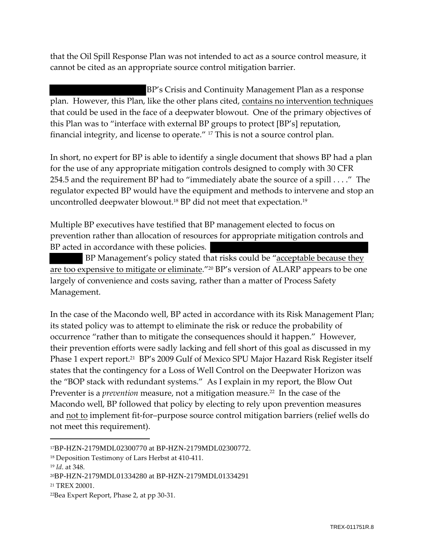that the Oil Spill Response Plan was not intended to act as a source control measure, it cannot be cited as an appropriate source control mitigation barrier.

BP's Crisis and Continuity Management Plan as a response plan. However, this Plan, like the other plans cited, contains no intervention techniques that could be used in the face of a deepwater blowout. One of the primary objectives of this Plan was to "interface with external BP groups to protect [BP's] reputation, financial integrity, and license to operate." <sup>17</sup> This is not a source control plan.

In short, no expert for BP is able to identify a single document that shows BP had a plan for the use of any appropriate mitigation controls designed to comply with 30 CFR 254.5 and the requirement BP had to "immediately abate the source of a spill . . . ." The regulator expected BP would have the equipment and methods to intervene and stop an uncontrolled deepwater blowout.<sup>18</sup> BP did not meet that expectation.<sup>19</sup>

Multiple BP executives have testified that BP management elected to focus on prevention rather than allocation of resources for appropriate mitigation controls and BP acted in accordance with these policies.

BP Management's policy stated that risks could be "acceptable because they are too expensive to mitigate or eliminate."<sup>20</sup> BP's version of ALARP appears to be one largely of convenience and costs saving, rather than a matter of Process Safety Management.

In the case of the Macondo well, BP acted in accordance with its Risk Management Plan; its stated policy was to attempt to eliminate the risk or reduce the probability of occurrence "rather than to mitigate the consequences should it happen." However, their prevention efforts were sadly lacking and fell short of this goal as discussed in my Phase 1 expert report.<sup>21</sup> BP's 2009 Gulf of Mexico SPU Major Hazard Risk Register itself states that the contingency for a Loss of Well Control on the Deepwater Horizon was the "BOP stack with redundant systems." As I explain in my report, the Blow Out Preventer is a *prevention* measure, not a mitigation measure.<sup>22</sup> In the case of the Macondo well, BP followed that policy by electing to rely upon prevention measures and not to implement fit-for-purpose source control mitigation barriers (relief wells do not meet this requirement).

<sup>17</sup>BP-HZN-2179MDL02300770 at BP-HZN-2179MDL02300772.

<sup>&</sup>lt;sup>18</sup> Deposition Testimony of Lars Herbst at 410-411.

 $19$  Id. at 348.

<sup>20</sup>BP-HZN-2179MDL01334280 at BP-HZN-2179MDL01334291

<sup>&</sup>lt;sup>21</sup> TREX 20001.

<sup>&</sup>lt;sup>22</sup>Bea Expert Report, Phase 2, at pp 30-31.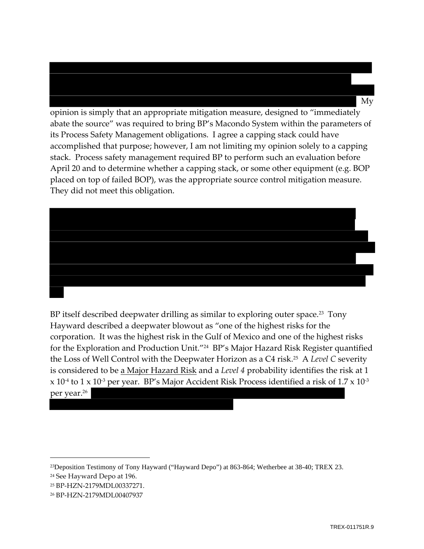opinion is simply that an appropriate mitigation measure, designed to "immediately abate the source" was required to bring BP's Macondo System within the parameters of its Process Safety Management obligations. I agree a capping stack could have accomplished that purpose; however, I am not limiting my opinion solely to a capping stack. Process safety management required BP to perform such an evaluation before April 20 and to determine whether a capping stack, or some other equipment (e.g. BOP placed on top of failed BOP), was the appropriate source control mitigation measure. They did not meet this obligation.

BP itself described deepwater drilling as similar to exploring outer space.<sup>23</sup> Tony Hayward described a deepwater blowout as "one of the highest risks for the corporation. It was the highest risk in the Gulf of Mexico and one of the highest risks for the Exploration and Production Unit."<sup>24</sup> BP's Major Hazard Risk Register quantified the Loss of Well Control with the Deepwater Horizon as a C4 risk.<sup>25</sup> A Level C severity is considered to be a Major Hazard Risk and a Level 4 probability identifies the risk at 1  $x 10<sup>4</sup>$  to 1 x 10<sup>-3</sup> per year. BP's Major Accident Risk Process identified a risk of 1.7 x 10<sup>-3</sup>

per year.<sup>26</sup>

 $Mv$ 

<sup>&</sup>lt;sup>23</sup>Deposition Testimony of Tony Hayward ("Hayward Depo") at 863-864; Wetherbee at 38-40; TREX 23.

<sup>&</sup>lt;sup>24</sup> See Hayward Depo at 196.

<sup>25</sup> BP-HZN-2179MDL00337271.

<sup>&</sup>lt;sup>26</sup> BP-HZN-2179MDL00407937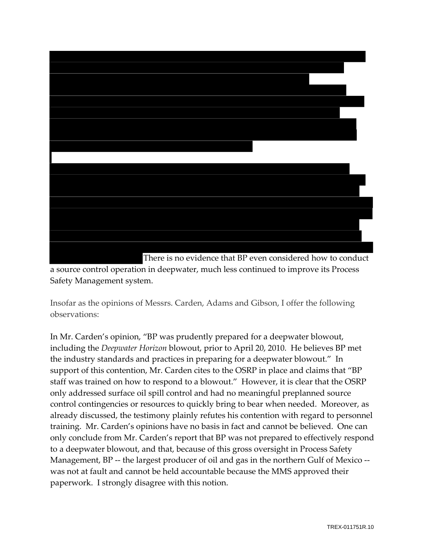



Insofar as the opinions of Messrs. Carden, Adams and Gibson, I offer the following observations:

In Mr. Carden's opinion, "BP was prudently prepared for a deepwater blowout, including the *Deepwater Horizon* blowout, prior to April 20, 2010. He believes BP met the industry standards and practices in preparing for a deepwater blowout." In support of this contention, Mr. Carden cites to the OSRP in place and claims that "BP staff was trained on how to respond to a blowout." However, it is clear that the OSRP only addressed surface oil spill control and had no meaningful preplanned source control contingencies or resources to quickly bring to bear when needed. Moreover, as already discussed, the testimony plainly refutes his contention with regard to personnel training. Mr. Carden's opinions have no basis in fact and cannot be believed. One can only conclude from Mr. Carden's report that BP was not prepared to effectively respond to a deepwater blowout, and that, because of this gross oversight in Process Safety Management, BP -- the largest producer of oil and gas in the northern Gulf of Mexico -was not at fault and cannot be held accountable because the MMS approved their paperwork. I strongly disagree with this notion.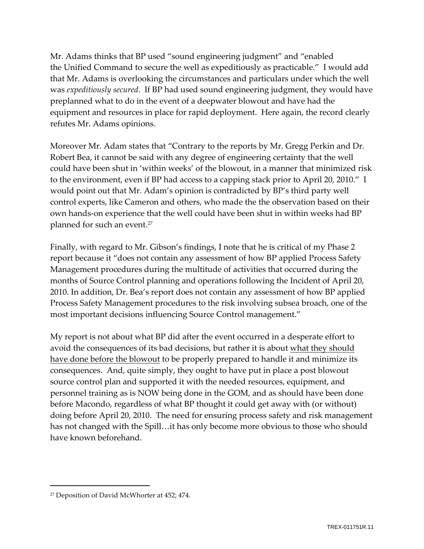Mr. Adams thinks that BP used "sound engineering judgment" and "enabled the Unified Command to secure the well as expeditiously as practicable." I would add that Mr. Adams is overlooking the circumstances and particulars under which the well was expeditiously secured. If BP had used sound engineering judgment, they would have preplanned what to do in the event of a deepwater blowout and have had the equipment and resources in place for rapid deployment. Here again, the record clearly refutes Mr. Adams opinions.

Moreover Mr. Adam states that "Contrary to the reports by Mr. Gregg Perkin and Dr. Robert Bea, it cannot be said with any degree of engineering certainty that the well could have been shut in 'within weeks' of the blowout, in a manner that minimized risk to the environment, even if BP had access to a capping stack prior to April 20, 2010." I would point out that Mr. Adam's opinion is contradicted by BP's third party well control experts, like Cameron and others, who made the the observation based on their own hands-on experience that the well could have been shut in within weeks had BP planned for such an event.<sup>27</sup>

Finally, with regard to Mr. Gibson's findings, I note that he is critical of my Phase 2 report because it "does not contain any assessment of how BP applied Process Safety Management procedures during the multitude of activities that occurred during the months of Source Control planning and operations following the Incident of April 20, 2010. In addition, Dr. Bea's report does not contain any assessment of how BP applied Process Safety Management procedures to the risk involving subsea broach, one of the most important decisions influencing Source Control management."

My report is not about what BP did after the event occurred in a desperate effort to avoid the consequences of its bad decisions, but rather it is about what they should have done before the blowout to be properly prepared to handle it and minimize its consequences. And, quite simply, they ought to have put in place a post blowout source control plan and supported it with the needed resources, equipment, and personnel training as is NOW being done in the GOM, and as should have been done before Macondo, regardless of what BP thought it could get away with (or without) doing before April 20, 2010. The need for ensuring process safety and risk management has not changed with the Spill...it has only become more obvious to those who should have known beforehand.

<sup>&</sup>lt;sup>27</sup> Deposition of David McWhorter at 452; 474.